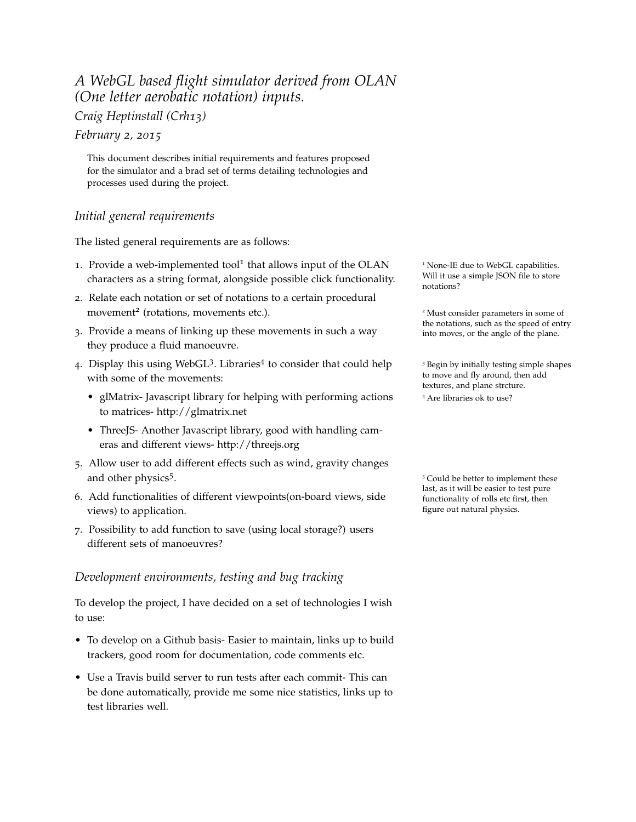## *A WebGL based flight simulator derived from OLAN (One letter aerobatic notation) inputs.*

*Craig Heptinstall (Crh13)*

*February 2, 2015*

This document describes initial requirements and features proposed for the simulator and a brad set of terms detailing technologies and processes used during the project.

## *Initial general requirements*

The listed general requirements are as follows:

- 1. Provide a web-implemented tool<sup>1</sup> that allows input of the OLAN <sup>1</sup> None-IE due to WebGL capabilities. characters as a string format, alongside possible click functionality.
- 2. Relate each notation or set of notations to a certain procedural movement<sup>2</sup> (rotations, movements etc.).
- 3. Provide a means of linking up these movements in such a way into moves, or the angle of the plane. they produce a fluid manoeuvre.
- 4. Display this using WebGL<sup>3</sup>. Libraries<sup>4</sup> with some of the movements:
	- glMatrix- Javascript library for helping with performing actions to matrices- http://glmatrix.net
	- ThreeJS- Another Javascript library, good with handling cameras and different views- http://threejs.org
- 5. Allow user to add different effects such as wind, gravity changes and other physics<sup>5</sup>.
- 6. Add functionalities of different viewpoints(on-board views, side views) to application.
- 7. Possibility to add function to save (using local storage?) users different sets of manoeuvres?

## *Development environments, testing and bug tracking*

To develop the project, I have decided on a set of technologies I wish to use:

- To develop on a Github basis- Easier to maintain, links up to build trackers, good room for documentation, code comments etc.
- Use a Travis build server to run tests after each commit- This can be done automatically, provide me some nice statistics, links up to test libraries well.

Will it use a simple JSON file to store notations?

<sup>2</sup> Must consider parameters in some of the notations, such as the speed of entry

<sup>3</sup> Begin by initially testing simple shapes to move and fly around, then add textures, and plane strcture. <sup>4</sup> Are libraries ok to use?

<sup>5</sup> Could be better to implement these last, as it will be easier to test pure functionality of rolls etc first, then figure out natural physics.